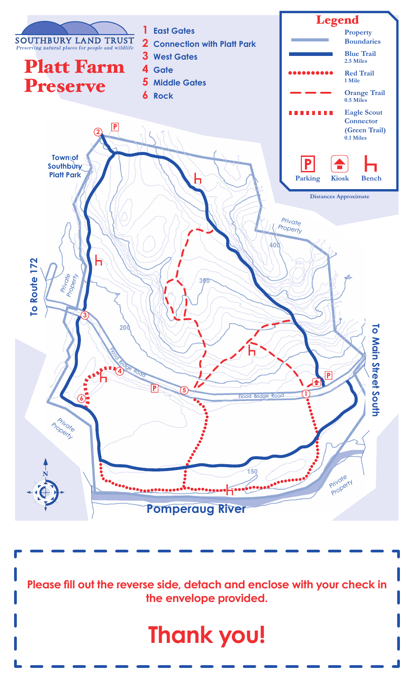